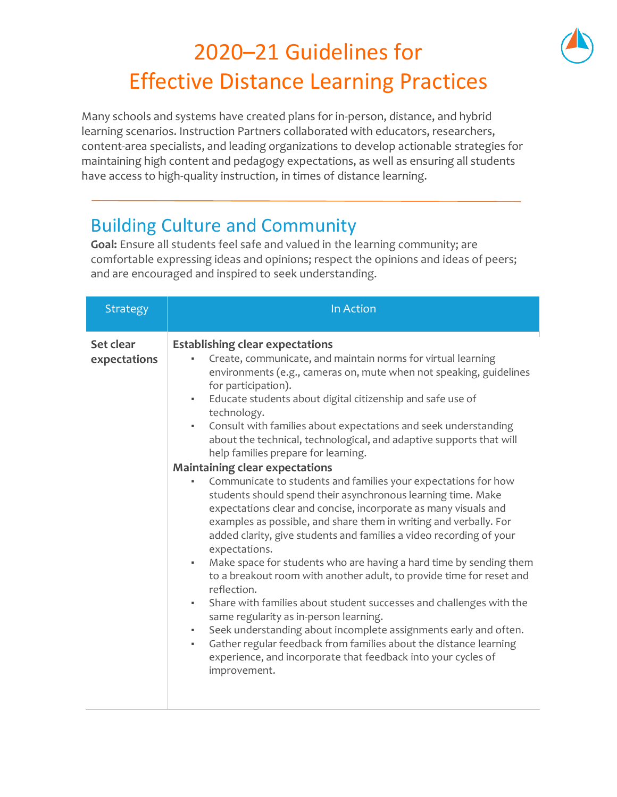## 2020–21 Guidelines for Effective Distance Learning Practices

Many schools and systems have created plans for in-person, distance, and hybrid learning scenarios. Instruction Partners collaborated with educators, researchers, content-area specialists, and leading organizations to develop actionable strategies for maintaining high content and pedagogy expectations, as well as ensuring all students have access to high-quality instruction, in times of distance learning.

## Building Culture and Community

**Goal:** Ensure all students feel safe and valued in the learning community; are comfortable expressing ideas and opinions; respect the opinions and ideas of peers; and are encouraged and inspired to seek understanding.

| <b>Strategy</b>           | In Action                                                                                                                                                                                                                                                                                                                                                                                                                                                                                                                                                                                                                                                                                                                                                                                                                                                                                                                                                                                                                                                                                                                                                                                                                                                                                                                                                                                                                              |
|---------------------------|----------------------------------------------------------------------------------------------------------------------------------------------------------------------------------------------------------------------------------------------------------------------------------------------------------------------------------------------------------------------------------------------------------------------------------------------------------------------------------------------------------------------------------------------------------------------------------------------------------------------------------------------------------------------------------------------------------------------------------------------------------------------------------------------------------------------------------------------------------------------------------------------------------------------------------------------------------------------------------------------------------------------------------------------------------------------------------------------------------------------------------------------------------------------------------------------------------------------------------------------------------------------------------------------------------------------------------------------------------------------------------------------------------------------------------------|
| Set clear<br>expectations | <b>Establishing clear expectations</b><br>Create, communicate, and maintain norms for virtual learning<br>environments (e.g., cameras on, mute when not speaking, guidelines<br>for participation).<br>Educate students about digital citizenship and safe use of<br>$\blacksquare$<br>technology.<br>Consult with families about expectations and seek understanding<br>٠,<br>about the technical, technological, and adaptive supports that will<br>help families prepare for learning.<br><b>Maintaining clear expectations</b><br>Communicate to students and families your expectations for how<br>٠<br>students should spend their asynchronous learning time. Make<br>expectations clear and concise, incorporate as many visuals and<br>examples as possible, and share them in writing and verbally. For<br>added clarity, give students and families a video recording of your<br>expectations.<br>Make space for students who are having a hard time by sending them<br>н.<br>to a breakout room with another adult, to provide time for reset and<br>reflection.<br>Share with families about student successes and challenges with the<br>٠<br>same regularity as in-person learning.<br>Seek understanding about incomplete assignments early and often.<br>٠<br>Gather regular feedback from families about the distance learning<br>٠<br>experience, and incorporate that feedback into your cycles of<br>improvement. |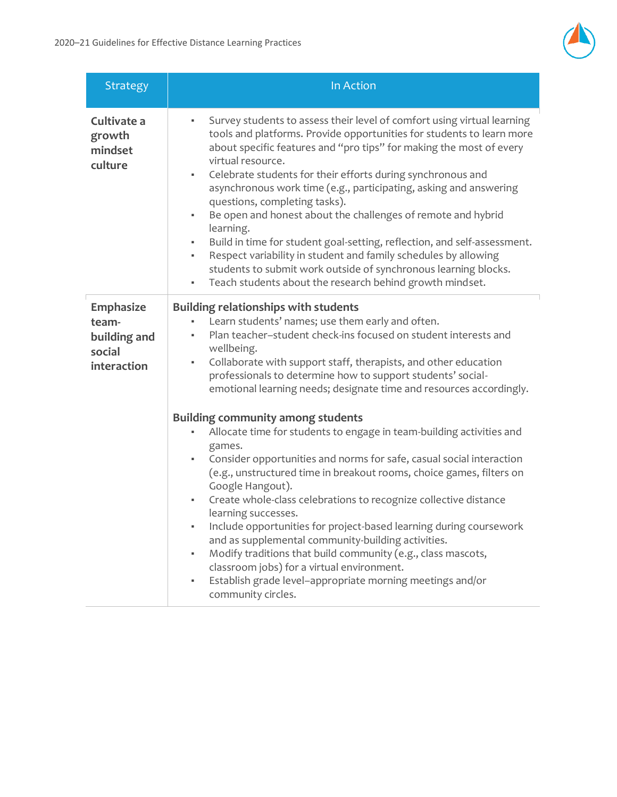

| <b>Strategy</b>                                             | In Action                                                                                                                                                                                                                                                                                                                                                                                                                                                                                                                                                                                                                                                                                                                                                                                        |
|-------------------------------------------------------------|--------------------------------------------------------------------------------------------------------------------------------------------------------------------------------------------------------------------------------------------------------------------------------------------------------------------------------------------------------------------------------------------------------------------------------------------------------------------------------------------------------------------------------------------------------------------------------------------------------------------------------------------------------------------------------------------------------------------------------------------------------------------------------------------------|
| Cultivate a<br>growth<br>mindset<br>culture                 | Survey students to assess their level of comfort using virtual learning<br>tools and platforms. Provide opportunities for students to learn more<br>about specific features and "pro tips" for making the most of every<br>virtual resource.<br>Celebrate students for their efforts during synchronous and<br>٠<br>asynchronous work time (e.g., participating, asking and answering<br>questions, completing tasks).<br>Be open and honest about the challenges of remote and hybrid<br>learning.<br>Build in time for student goal-setting, reflection, and self-assessment.<br>٠<br>Respect variability in student and family schedules by allowing<br>٠<br>students to submit work outside of synchronous learning blocks.<br>Teach students about the research behind growth mindset.<br>٠ |
| Emphasize<br>team-<br>building and<br>social<br>interaction | <b>Building relationships with students</b><br>Learn students' names; use them early and often.<br>Plan teacher-student check-ins focused on student interests and<br>wellbeing.<br>Collaborate with support staff, therapists, and other education<br>٠<br>professionals to determine how to support students' social-<br>emotional learning needs; designate time and resources accordingly.<br><b>Building community among students</b><br>Allocate time for students to engage in team-building activities and                                                                                                                                                                                                                                                                               |
|                                                             | games.<br>Consider opportunities and norms for safe, casual social interaction<br>٠<br>(e.g., unstructured time in breakout rooms, choice games, filters on<br>Google Hangout).<br>Create whole-class celebrations to recognize collective distance<br>٠<br>learning successes.<br>Include opportunities for project-based learning during coursework<br>and as supplemental community-building activities.<br>Modify traditions that build community (e.g., class mascots,<br>classroom jobs) for a virtual environment.<br>Establish grade level-appropriate morning meetings and/or<br>٠<br>community circles.                                                                                                                                                                                |